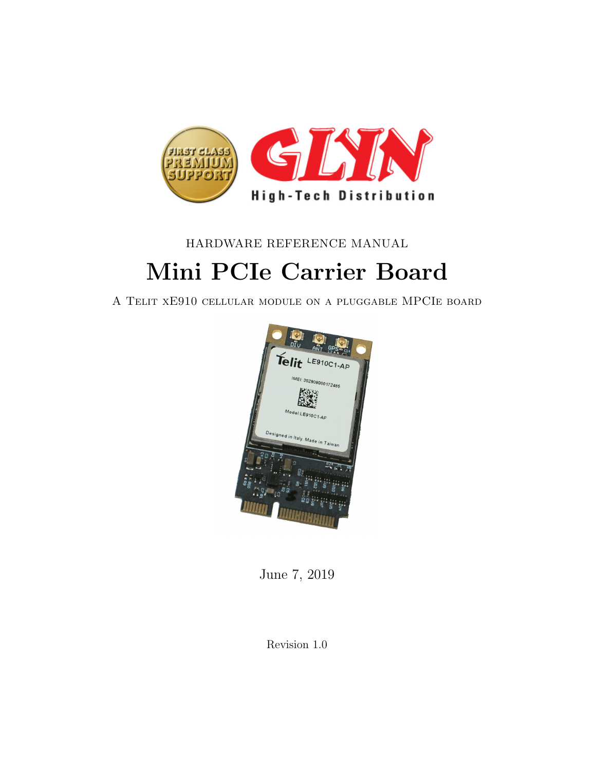

#### HARDWARE REFERENCE MANUAL

# Mini PCIe Carrier Board

A Telit xE910 cellular module on a pluggable MPCIe board



June 7, 2019

Revision 1.0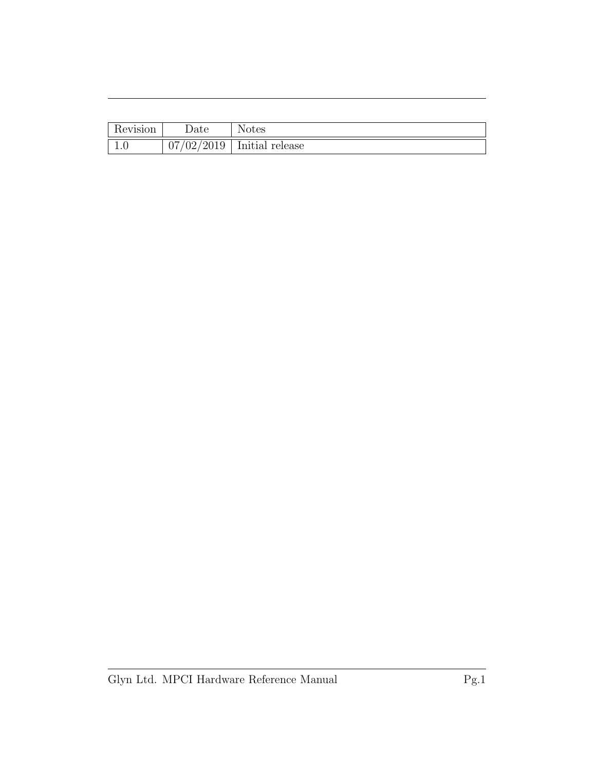| Revision | $\Delta$ Date            | <b>Notes</b>    |
|----------|--------------------------|-----------------|
| t.v      | 97/02/2<br>$\sqrt{2019}$ | Initial release |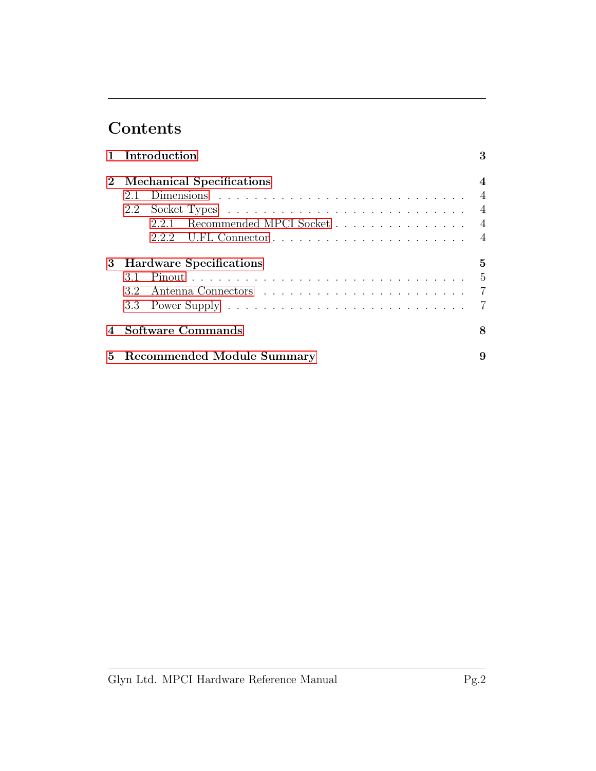# Contents

|             | 1 Introduction                                                                    | 3                                  |
|-------------|-----------------------------------------------------------------------------------|------------------------------------|
| $2^{\circ}$ | <b>Mechanical Specifications</b><br>2.1<br>2.2<br>2.2.1 Recommended MPCI Socket 4 | $\boldsymbol{4}$<br>$\overline{4}$ |
|             | 3 Hardware Specifications                                                         | 5<br>-5<br>- 7                     |
|             | <b>Software Commands</b>                                                          | 8                                  |
| 5.          | Recommended Module Summary                                                        | 9                                  |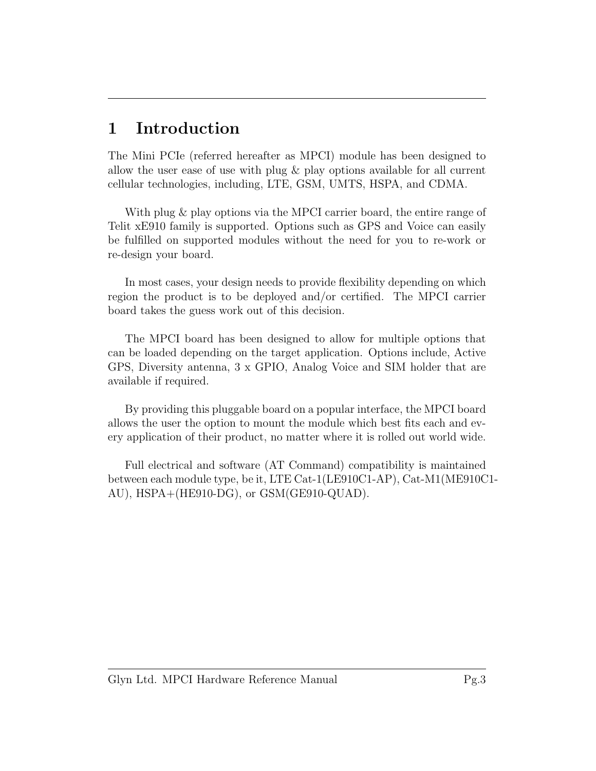### <span id="page-3-0"></span>1 Introduction

The Mini PCIe (referred hereafter as MPCI) module has been designed to allow the user ease of use with plug & play options available for all current cellular technologies, including, LTE, GSM, UMTS, HSPA, and CDMA.

With plug & play options via the MPCI carrier board, the entire range of Telit xE910 family is supported. Options such as GPS and Voice can easily be fulfilled on supported modules without the need for you to re-work or re-design your board.

In most cases, your design needs to provide flexibility depending on which region the product is to be deployed and/or certified. The MPCI carrier board takes the guess work out of this decision.

The MPCI board has been designed to allow for multiple options that can be loaded depending on the target application. Options include, Active GPS, Diversity antenna, 3 x GPIO, Analog Voice and SIM holder that are available if required.

By providing this pluggable board on a popular interface, the MPCI board allows the user the option to mount the module which best fits each and every application of their product, no matter where it is rolled out world wide.

Full electrical and software (AT Command) compatibility is maintained between each module type, be it, LTE Cat-1(LE910C1-AP), Cat-M1(ME910C1- AU), HSPA+(HE910-DG), or GSM(GE910-QUAD).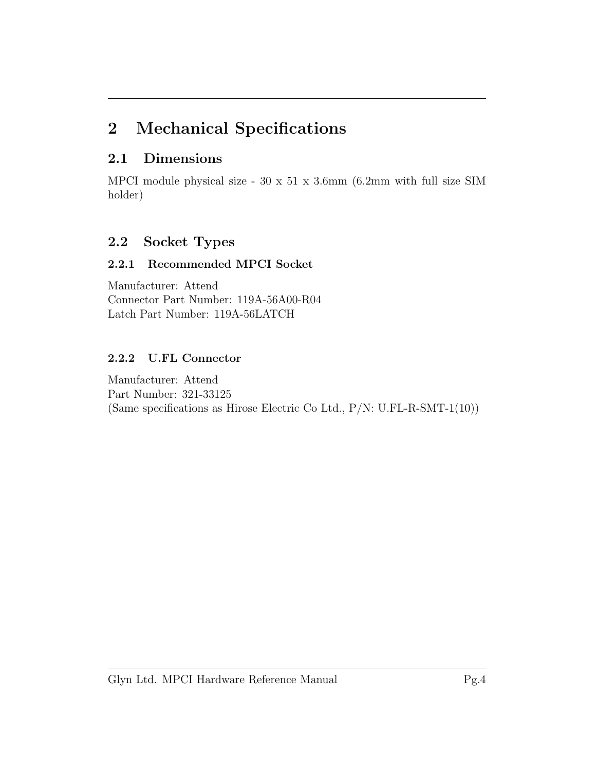### <span id="page-4-0"></span>2 Mechanical Specifications

#### <span id="page-4-1"></span>2.1 Dimensions

MPCI module physical size - 30 x 51 x 3.6mm (6.2mm with full size SIM holder)

#### <span id="page-4-2"></span>2.2 Socket Types

#### <span id="page-4-3"></span>2.2.1 Recommended MPCI Socket

Manufacturer: Attend Connector Part Number: 119A-56A00-R04 Latch Part Number: 119A-56LATCH

#### <span id="page-4-4"></span>2.2.2 U.FL Connector

Manufacturer: Attend Part Number: 321-33125 (Same specifications as Hirose Electric Co Ltd., P/N: U.FL-R-SMT-1(10))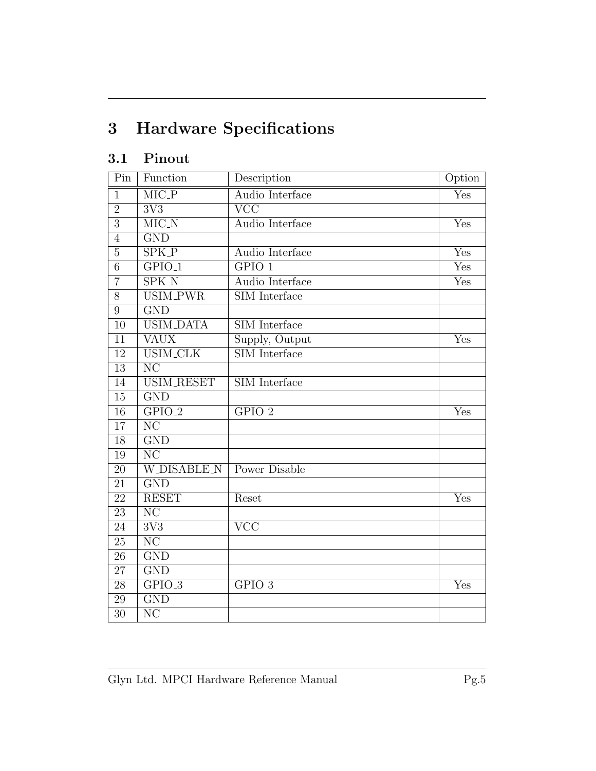# <span id="page-5-0"></span>3 Hardware Specifications

### <span id="page-5-1"></span>3.1 Pinout

| Pin             | Function                          | Description             | Option                    |
|-----------------|-----------------------------------|-------------------------|---------------------------|
| $\mathbf{1}$    | $\overline{\text{MIC}_\text{-}P}$ | Audio Interface         | Yes                       |
| $\overline{2}$  | $\overline{3V3}$                  | $\overline{\text{VCC}}$ |                           |
| $\overline{3}$  | $\overline{\text{MIC}_N}$         | Audio Interface         | Yes                       |
| $\overline{4}$  | $\overline{\mathrm{GND}}$         |                         |                           |
| $\overline{5}$  | $\overline{\text{SPK.P}}$         | Audio Interface         | $\overline{\mathrm{Yes}}$ |
| $\overline{6}$  | $GPIO_1$                          | GPIO 1                  | Yes                       |
| $\overline{7}$  | $\overline{\text{SPK}_N}$         | Audio Interface         | $\overline{\mathrm{Yes}}$ |
| 8               | <b>USIM_PWR</b>                   | <b>SIM</b> Interface    |                           |
| 9               | $\overline{\mathrm{GND}}$         |                         |                           |
| $\overline{10}$ | <b>USIM_DATA</b>                  | SIM Interface           |                           |
| 11              | <b>VAUX</b>                       | Supply, Output          | Yes                       |
| $\overline{12}$ | <b>USIM_CLK</b>                   | <b>SIM</b> Interface    |                           |
| 13              | $\overline{\text{NC}}$            |                         |                           |
| 14              | <b>USIM_RESET</b>                 | <b>SIM</b> Interface    |                           |
| 15              | $\overline{\mathrm{GND}}$         |                         |                           |
| 16              | $GPIO_2$                          | GPIO <sub>2</sub>       | Yes                       |
| 17              | $\overline{\text{NC}}$            |                         |                           |
| 18              | $\overline{\mathrm{GND}}$         |                         |                           |
| 19              | $\overline{\text{NC}}$            |                         |                           |
| 20              | <b>W_DISABLE_N</b>                | <b>Power Disable</b>    |                           |
| $\overline{21}$ | $\overline{\mathrm{GND}}$         |                         |                           |
| $\overline{22}$ | <b>RESET</b>                      | Reset                   | Yes                       |
| $\overline{23}$ | $\overline{\text{NC}}$            |                         |                           |
| 24              | 3V3                               | $\overline{\text{VCC}}$ |                           |
| 25              | $\overline{\text{NC}}$            |                         |                           |
| $\overline{26}$ | $\overline{\mathrm{GND}}$         |                         |                           |
| 27              | $\overline{\mathrm{GND}}$         |                         |                           |
| $\overline{28}$ | $GPIO_3$                          | GPIO <sub>3</sub>       | Yes                       |
| $29\,$          | $\overline{\mathrm{GND}}$         |                         |                           |
| $\overline{30}$ | $\overline{\text{NC}}$            |                         |                           |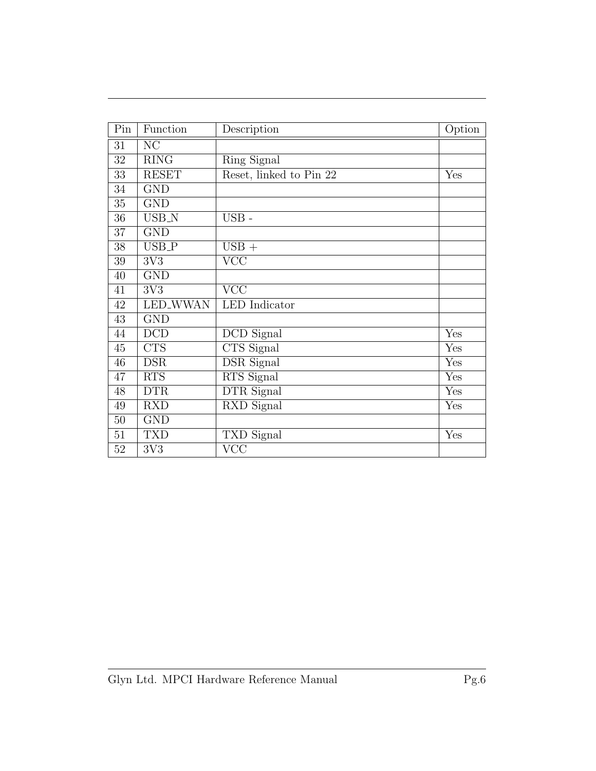| $\overline{Pin}$ | Function     | Description                    | Option |
|------------------|--------------|--------------------------------|--------|
| 31               | NC           |                                |        |
| $32\,$           | <b>RING</b>  | Ring Signal                    |        |
| 33               | <b>RESET</b> | Reset, linked to Pin 22        | Yes    |
| 34               | <b>GND</b>   |                                |        |
| $35\,$           | <b>GND</b>   |                                |        |
| $36\,$           | USB_N        | $\text{USB}$ -                 |        |
| $37\,$           | <b>GND</b>   |                                |        |
| $38\,$           | USB_P        | $\text{USB}{}$ +               |        |
| $39\,$           | 3V3          | <b>VCC</b>                     |        |
| $40\,$           | <b>GND</b>   |                                |        |
| 41               | 3V3          | $\overline{\text{VCC}}$        |        |
| $42\,$           | LED_WWAN     | <b>LED</b> Indicator           |        |
| $\overline{43}$  | <b>GND</b>   |                                |        |
| 44               | <b>DCD</b>   | DCD Signal                     | Yes    |
| 45               | <b>CTS</b>   | CTS Signal                     | Yes    |
| 46               | <b>DSR</b>   | <b>DSR</b> Signal              | Yes    |
| 47               | <b>RTS</b>   | RTS Signal                     | Yes    |
| 48               | <b>DTR</b>   | <b>DTR</b> Signal              | Yes    |
| 49               | <b>RXD</b>   | $\overline{\text{RXD}}$ Signal | Yes    |
| $50\,$           | <b>GND</b>   |                                |        |
| 51               | <b>TXD</b>   | TXD Signal                     | Yes    |
| 52               | 3V3          | <b>VCC</b>                     |        |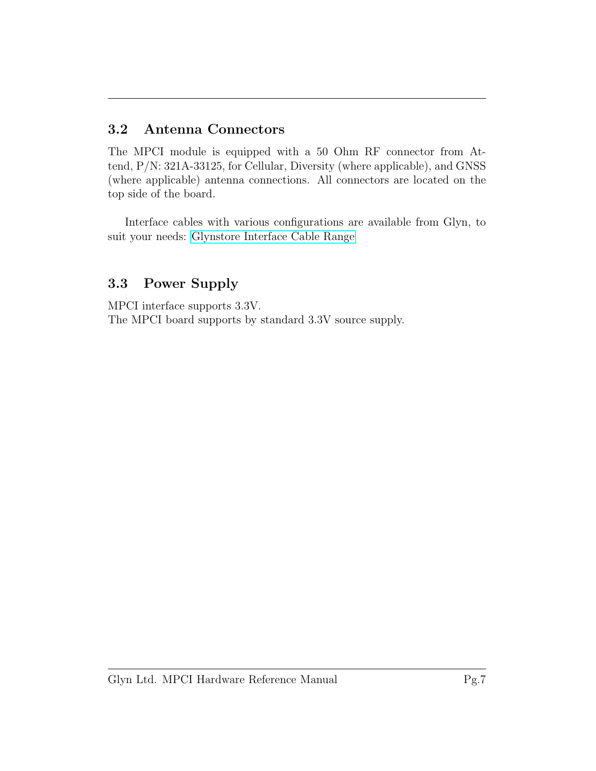#### <span id="page-7-0"></span>3.2 Antenna Connectors

The MPCI module is equipped with a 50 Ohm RF connector from Attend, P/N: 321A-33125, for Cellular, Diversity (where applicable), and GNSS (where applicable) antenna connections. All connectors are located on the top side of the board.

Interface cables with various configurations are available from Glyn, to suit your needs: [Glynstore Interface Cable Range](http://www.glynstore.com/pages/RF-Cable-Selection-Guide.html)

#### <span id="page-7-1"></span>3.3 Power Supply

MPCI interface supports 3.3V. The MPCI board supports by standard 3.3V source supply.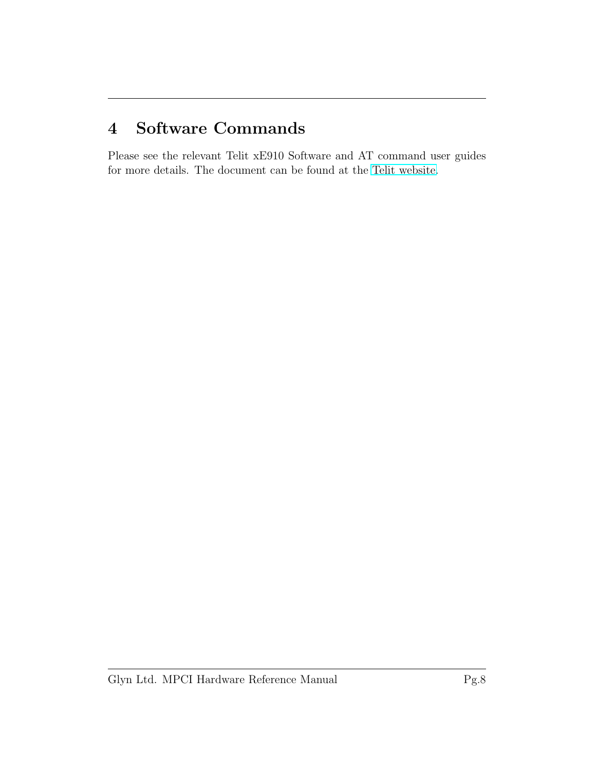### <span id="page-8-0"></span>4 Software Commands

Please see the relevant Telit xE910 Software and AT command user guides for more details. The document can be found at the [Telit website.](http://www.telit.com)